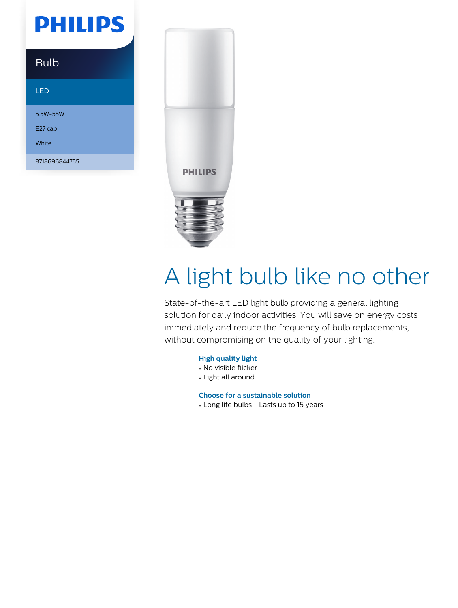## **PHILIPS**

### Bulb

#### LED

5.5W-55W E27 cap White

8718696844755



# A light bulb like no other

State-of-the-art LED light bulb providing a general lighting solution for daily indoor activities. You will save on energy costs immediately and reduce the frequency of bulb replacements, without compromising on the quality of your lighting.

#### **High quality light**

- No visible flicker
- Light all around

**Choose for a sustainable solution**

• Long life bulbs - Lasts up to 15 years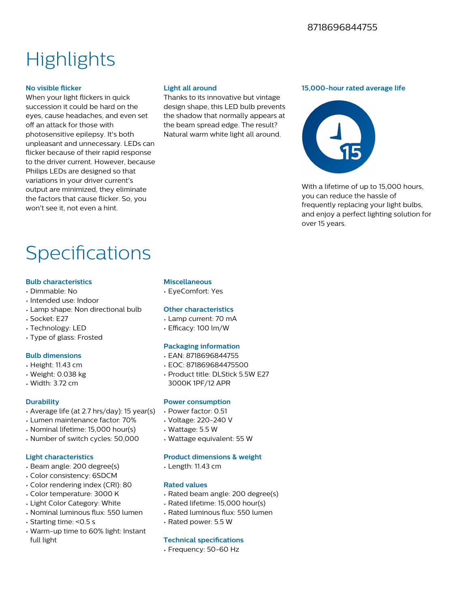## **Highlights**

#### **No visible flicker**

When your light flickers in quick succession it could be hard on the eyes, cause headaches, and even set off an attack for those with photosensitive epilepsy. It's both unpleasant and unnecessary. LEDs can flicker because of their rapid response to the driver current. However, because Philips LEDs are designed so that variations in your driver current's output are minimized, they eliminate the factors that cause flicker. So, you won't see it, not even a hint.

#### **Light all around**

Thanks to its innovative but vintage design shape, this LED bulb prevents the shadow that normally appears at the beam spread edge. The result? Natural warm white light all around.

#### **15,000-hour rated average life**



With a lifetime of up to 15,000 hours. you can reduce the hassle of frequently replacing your light bulbs, and enjoy a perfect lighting solution for over 15 years.

## Specifications

#### **Bulb characteristics**

- Dimmable: No
- Intended use: Indoor
- Lamp shape: Non directional bulb
- Socket: E27
- Technology: LED
- Type of glass: Frosted

#### **Bulb dimensions**

- Height: 11.43 cm
- Weight: 0.038 kg
- Width: 3.72 cm

#### **Durability**

- Average life (at 2.7 hrs/day): 15 year(s)
- Lumen maintenance factor: 70%
- Nominal lifetime: 15,000 hour(s)
- Number of switch cycles: 50,000

#### **Light characteristics**

- Beam angle: 200 degree(s)
- Color consistency: 6SDCM
- Color rendering index (CRI): 80
- Color temperature: 3000 K
- Light Color Category: White
- Nominal luminous flux: 550 lumen
- Starting time: <0.5 s
- Warm-up time to 60% light: Instant full light

#### **Miscellaneous**

• EyeComfort: Yes

#### **Other characteristics**

- Lamp current: 70 mA
- $\cdot$  Efficacy: 100 lm/W

#### **Packaging information**

- EAN: 8718696844755
- EOC: 871869684475500
- Product title: DLStick 5.5W E27 3000K 1PF/12 APR

#### **Power consumption**

- Power factor: 0.51
- Voltage: 220-240 V
- Wattage: 5.5 W
- Wattage equivalent: 55 W

#### **Product dimensions & weight**

• Length: 11.43 cm

#### **Rated values**

- Rated beam angle: 200 degree(s)
- Rated lifetime: 15,000 hour(s)
- Rated luminous flux: 550 lumen
- Rated power: 5.5 W

#### **Technical specifications**

• Frequency: 50-60 Hz